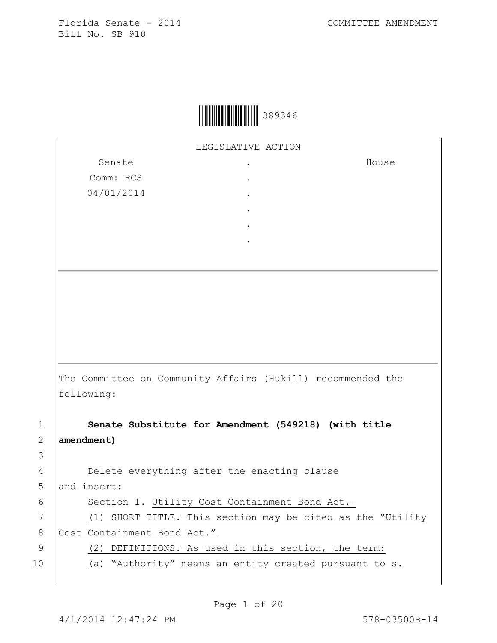House



LEGISLATIVE ACTION

Senate Comm: RCS 04/01/2014 . . . . . .

The Committee on Community Affairs (Hukill) recommended the following:

1 **Senate Substitute for Amendment (549218) (with title** 

3

2 **amendment)** 4 Delete everything after the enacting clause 5 and insert: 6 | Section 1. Utility Cost Containment Bond Act.-7 (1) SHORT TITLE.—This section may be cited as the "Utility 8 Cost Containment Bond Act." 9 (2) DEFINITIONS.—As used in this section, the term: 10 (a) "Authority" means an entity created pursuant to s.

Page 1 of 20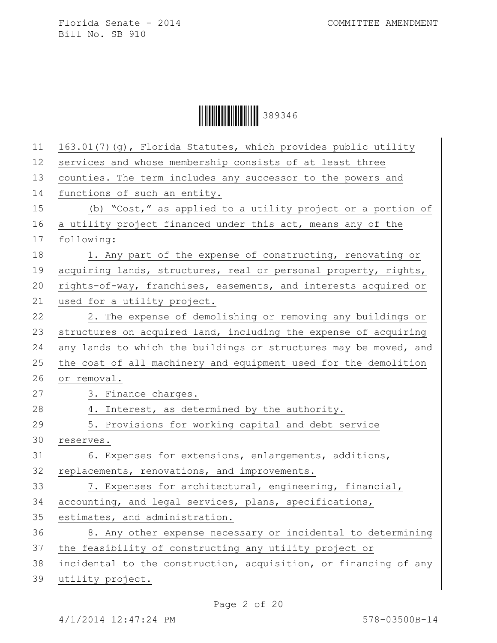|--|--|

| 11 | 163.01(7)(g), Florida Statutes, which provides public utility    |
|----|------------------------------------------------------------------|
| 12 | services and whose membership consists of at least three         |
| 13 | counties. The term includes any successor to the powers and      |
| 14 | functions of such an entity.                                     |
| 15 | (b) "Cost," as applied to a utility project or a portion of      |
| 16 | a utility project financed under this act, means any of the      |
| 17 | following:                                                       |
| 18 | 1. Any part of the expense of constructing, renovating or        |
| 19 | acquiring lands, structures, real or personal property, rights,  |
| 20 | rights-of-way, franchises, easements, and interests acquired or  |
| 21 | used for a utility project.                                      |
| 22 | 2. The expense of demolishing or removing any buildings or       |
| 23 | structures on acquired land, including the expense of acquiring  |
| 24 | any lands to which the buildings or structures may be moved, and |
| 25 | the cost of all machinery and equipment used for the demolition  |
| 26 | or removal.                                                      |
| 27 | 3. Finance charges.                                              |
| 28 | 4. Interest, as determined by the authority.                     |
| 29 | 5. Provisions for working capital and debt service               |
| 30 | reserves.                                                        |
| 31 | 6. Expenses for extensions, enlargements, additions,             |
| 32 | replacements, renovations, and improvements.                     |
| 33 | 7. Expenses for architectural, engineering, financial,           |
| 34 | accounting, and legal services, plans, specifications,           |
| 35 | estimates, and administration.                                   |
| 36 | 8. Any other expense necessary or incidental to determining      |
| 37 | the feasibility of constructing any utility project or           |
| 38 | incidental to the construction, acquisition, or financing of any |
| 39 | utility project.                                                 |
|    |                                                                  |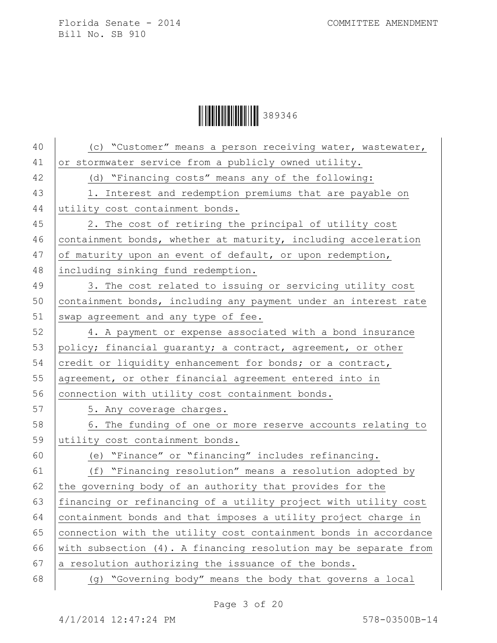$\begin{array}{|c|c|c|c|c|}\hline \multicolumn{1}{|c|}{\textbf{1}}&\multicolumn{1}{|c|}{\textbf{1}}&\multicolumn{1}{|c|}{\textbf{289346}}\ \hline \end{array}$ 

| 40 | (c) "Customer" means a person receiving water, wastewater,       |
|----|------------------------------------------------------------------|
| 41 | or stormwater service from a publicly owned utility.             |
| 42 | (d) "Financing costs" means any of the following:                |
| 43 | 1. Interest and redemption premiums that are payable on          |
| 44 | utility cost containment bonds.                                  |
| 45 | 2. The cost of retiring the principal of utility cost            |
| 46 | containment bonds, whether at maturity, including acceleration   |
| 47 | of maturity upon an event of default, or upon redemption,        |
| 48 | including sinking fund redemption.                               |
| 49 | 3. The cost related to issuing or servicing utility cost         |
| 50 | containment bonds, including any payment under an interest rate  |
| 51 | swap agreement and any type of fee.                              |
| 52 | 4. A payment or expense associated with a bond insurance         |
| 53 | policy; financial guaranty; a contract, agreement, or other      |
| 54 | credit or liquidity enhancement for bonds; or a contract,        |
| 55 | agreement, or other financial agreement entered into in          |
| 56 | connection with utility cost containment bonds.                  |
| 57 | 5. Any coverage charges.                                         |
| 58 | 6. The funding of one or more reserve accounts relating to       |
| 59 | utility cost containment bonds.                                  |
| 60 | (e) "Finance" or "financing" includes refinancing.               |
| 61 | (f) "Financing resolution" means a resolution adopted by         |
| 62 | the governing body of an authority that provides for the         |
| 63 | financing or refinancing of a utility project with utility cost  |
| 64 | containment bonds and that imposes a utility project charge in   |
| 65 | connection with the utility cost containment bonds in accordance |
| 66 | with subsection (4). A financing resolution may be separate from |
| 67 | a resolution authorizing the issuance of the bonds.              |
| 68 | (g) "Governing body" means the body that governs a local         |
|    |                                                                  |

Page 3 of 20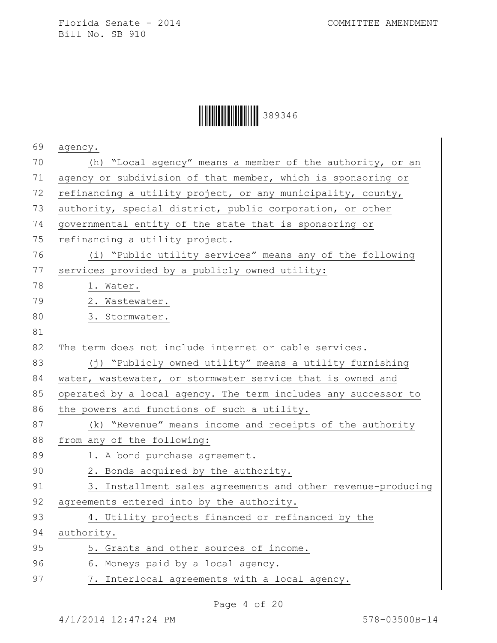## $\begin{array}{|c|c|c|c|c|}\hline \multicolumn{1}{|c|}{\textbf{1}}&\multicolumn{1}{|c|}{\textbf{1}}&\multicolumn{1}{|c|}{\textbf{289346}}\ \hline \end{array}$

| 69 | agency.                                                        |
|----|----------------------------------------------------------------|
| 70 | (h) "Local agency" means a member of the authority, or an      |
| 71 | agency or subdivision of that member, which is sponsoring or   |
| 72 | refinancing a utility project, or any municipality, county,    |
| 73 | authority, special district, public corporation, or other      |
| 74 | governmental entity of the state that is sponsoring or         |
| 75 | refinancing a utility project.                                 |
| 76 | (i) "Public utility services" means any of the following       |
| 77 | services provided by a publicly owned utility:                 |
| 78 | 1. Water.                                                      |
| 79 | 2. Wastewater.                                                 |
| 80 | 3. Stormwater.                                                 |
| 81 |                                                                |
| 82 | The term does not include internet or cable services.          |
| 83 | (j) "Publicly owned utility" means a utility furnishing        |
| 84 | water, wastewater, or stormwater service that is owned and     |
| 85 | operated by a local agency. The term includes any successor to |
| 86 | the powers and functions of such a utility.                    |
| 87 | (k) "Revenue" means income and receipts of the authority       |
| 88 | from any of the following:                                     |
| 89 | 1. A bond purchase agreement.                                  |
| 90 | 2. Bonds acquired by the authority.                            |
| 91 | 3. Installment sales agreements and other revenue-producing    |
| 92 | agreements entered into by the authority.                      |
| 93 | 4. Utility projects financed or refinanced by the              |
| 94 | authority.                                                     |
| 95 | 5. Grants and other sources of income.                         |
| 96 | 6. Moneys paid by a local agency.                              |
| 97 | 7. Interlocal agreements with a local agency.                  |
|    |                                                                |

Page 4 of 20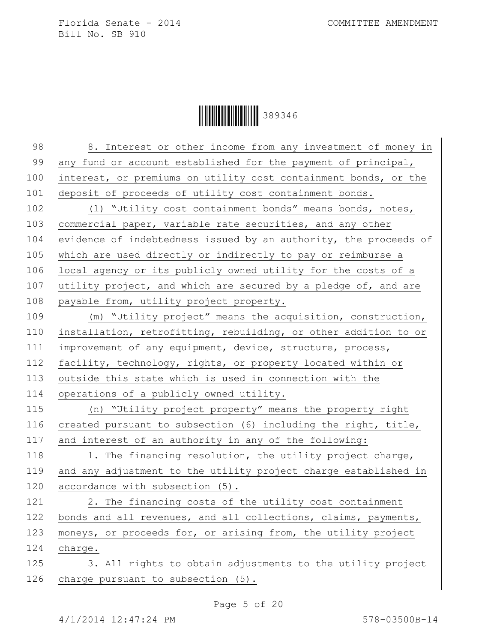$\begin{array}{|c|c|c|c|c|}\hline \multicolumn{1}{|c|}{\textbf{1}}&\multicolumn{1}{|c|}{\textbf{1}}&\multicolumn{1}{|c|}{\textbf{289346}}\ \hline \end{array}$ 

| 98  | 8. Interest or other income from any investment of money in      |
|-----|------------------------------------------------------------------|
| 99  | any fund or account established for the payment of principal,    |
| 100 | interest, or premiums on utility cost containment bonds, or the  |
| 101 | deposit of proceeds of utility cost containment bonds.           |
| 102 | (1) "Utility cost containment bonds" means bonds, notes,         |
| 103 | commercial paper, variable rate securities, and any other        |
| 104 | evidence of indebtedness issued by an authority, the proceeds of |
| 105 | which are used directly or indirectly to pay or reimburse a      |
| 106 | local agency or its publicly owned utility for the costs of a    |
| 107 | utility project, and which are secured by a pledge of, and are   |
| 108 | payable from, utility project property.                          |
| 109 | (m) "Utility project" means the acquisition, construction,       |
| 110 | installation, retrofitting, rebuilding, or other addition to or  |
| 111 | improvement of any equipment, device, structure, process,        |
| 112 | facility, technology, rights, or property located within or      |
| 113 | outside this state which is used in connection with the          |
| 114 | operations of a publicly owned utility.                          |
| 115 | (n) "Utility project property" means the property right          |
| 116 | created pursuant to subsection (6) including the right, title,   |
| 117 | and interest of an authority in any of the following:            |
| 118 | 1. The financing resolution, the utility project charge,         |
| 119 | and any adjustment to the utility project charge established in  |
| 120 | accordance with subsection (5).                                  |
| 121 | 2. The financing costs of the utility cost containment           |
| 122 | bonds and all revenues, and all collections, claims, payments,   |
| 123 | moneys, or proceeds for, or arising from, the utility project    |
| 124 | charge.                                                          |
| 125 | 3. All rights to obtain adjustments to the utility project       |
| 126 | charge pursuant to subsection (5).                               |
|     |                                                                  |

Page 5 of 20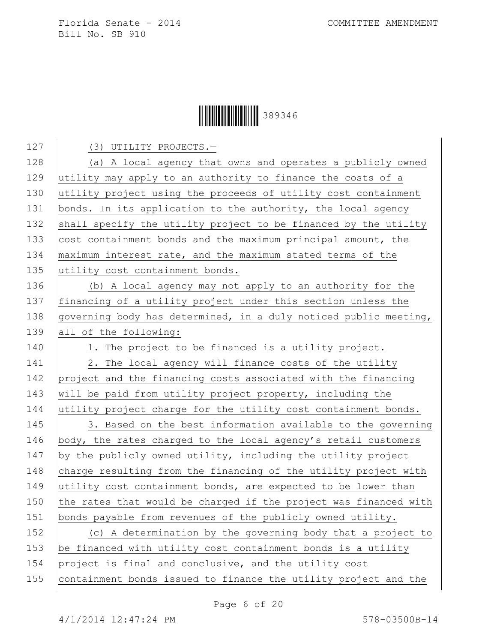Ì389346GÎ389346

127 (3) UTILITY PROJECTS.-128 (a) A local agency that owns and operates a publicly owned 129 utility may apply to an authority to finance the costs of a 130 utility project using the proceeds of utility cost containment 131 bonds. In its application to the authority, the local agency 132 shall specify the utility project to be financed by the utility 133  $\vert$  cost containment bonds and the maximum principal amount, the 134 maximum interest rate, and the maximum stated terms of the 135 utility cost containment bonds. 136 (b) A local agency may not apply to an authority for the 137 financing of a utility project under this section unless the 138 governing body has determined, in a duly noticed public meeting, 139 all of the following: 140 1. The project to be financed is a utility project. 141 2. The local agency will finance costs of the utility 142 project and the financing costs associated with the financing 143 will be paid from utility project property, including the 144 utility project charge for the utility cost containment bonds. 145 3. Based on the best information available to the governing 146 | body, the rates charged to the local agency's retail customers 147 by the publicly owned utility, including the utility project 148 charge resulting from the financing of the utility project with 149 utility cost containment bonds, are expected to be lower than 150  $\vert$  the rates that would be charged if the project was financed with 151 bonds payable from revenues of the publicly owned utility. 152 (c) A determination by the governing body that a project to 153  $\vert$  be financed with utility cost containment bonds is a utility 154 project is final and conclusive, and the utility cost 155 containment bonds issued to finance the utility project and the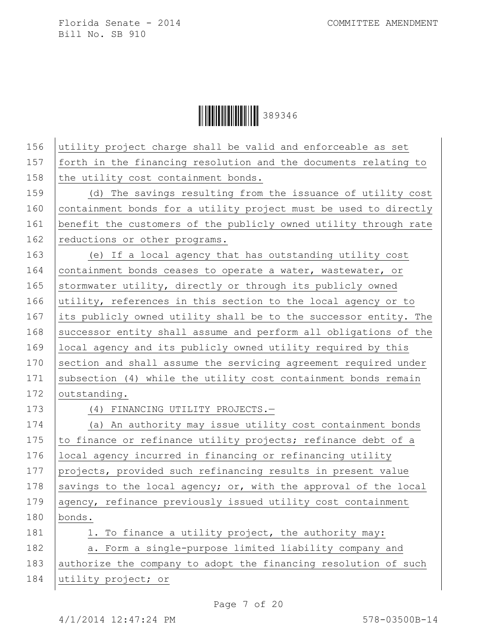$\begin{array}{|c|c|c|c|c|}\hline \multicolumn{1}{|c|}{\textbf{1}}&\multicolumn{1}{|c|}{\textbf{1}}&\multicolumn{1}{|c|}{\textbf{289346}}\ \hline \end{array}$ 

| 156 | utility project charge shall be valid and enforceable as set     |
|-----|------------------------------------------------------------------|
| 157 | forth in the financing resolution and the documents relating to  |
| 158 | the utility cost containment bonds.                              |
| 159 | (d) The savings resulting from the issuance of utility cost      |
| 160 | containment bonds for a utility project must be used to directly |
| 161 | benefit the customers of the publicly owned utility through rate |
| 162 | reductions or other programs.                                    |
| 163 | (e) If a local agency that has outstanding utility cost          |
| 164 | containment bonds ceases to operate a water, wastewater, or      |
| 165 | stormwater utility, directly or through its publicly owned       |
| 166 | utility, references in this section to the local agency or to    |
| 167 | its publicly owned utility shall be to the successor entity. The |
| 168 | successor entity shall assume and perform all obligations of the |
| 169 | local agency and its publicly owned utility required by this     |
| 170 | section and shall assume the servicing agreement required under  |
| 171 | subsection (4) while the utility cost containment bonds remain   |
| 172 | outstanding.                                                     |
| 173 | (4) FINANCING UTILITY PROJECTS.-                                 |
| 174 | (a) An authority may issue utility cost containment bonds        |
| 175 | to finance or refinance utility projects; refinance debt of a    |
| 176 | local agency incurred in financing or refinancing utility        |
| 177 | projects, provided such refinancing results in present value     |
| 178 | savings to the local agency; or, with the approval of the local  |
| 179 | agency, refinance previously issued utility cost containment     |
| 180 | bonds.                                                           |
| 181 | 1. To finance a utility project, the authority may:              |
| 182 | a. Form a single-purpose limited liability company and           |
| 183 | authorize the company to adopt the financing resolution of such  |
| 184 | utility project; or                                              |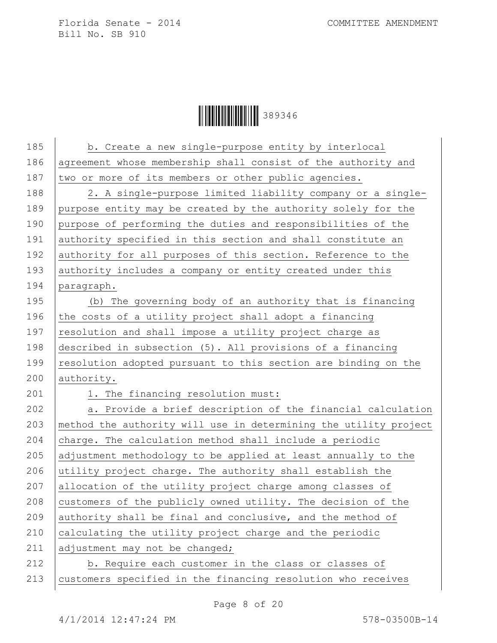Ì389346GÎ389346

| 185 | b. Create a new single-purpose entity by interlocal              |
|-----|------------------------------------------------------------------|
| 186 | agreement whose membership shall consist of the authority and    |
| 187 | two or more of its members or other public agencies.             |
| 188 | 2. A single-purpose limited liability company or a single-       |
| 189 | purpose entity may be created by the authority solely for the    |
| 190 | purpose of performing the duties and responsibilities of the     |
| 191 | authority specified in this section and shall constitute an      |
| 192 | authority for all purposes of this section. Reference to the     |
| 193 | authority includes a company or entity created under this        |
| 194 | paragraph.                                                       |
| 195 | (b) The governing body of an authority that is financing         |
| 196 | the costs of a utility project shall adopt a financing           |
| 197 | resolution and shall impose a utility project charge as          |
| 198 | described in subsection (5). All provisions of a financing       |
| 199 | resolution adopted pursuant to this section are binding on the   |
| 200 | authority.                                                       |
| 201 | 1. The financing resolution must:                                |
| 202 | a. Provide a brief description of the financial calculation      |
| 203 | method the authority will use in determining the utility project |
| 204 | charge. The calculation method shall include a periodic          |
| 205 | adjustment methodology to be applied at least annually to the    |
| 206 | utility project charge. The authority shall establish the        |
| 207 | allocation of the utility project charge among classes of        |
| 208 | customers of the publicly owned utility. The decision of the     |
| 209 | authority shall be final and conclusive, and the method of       |
| 210 | calculating the utility project charge and the periodic          |
| 211 | adjustment may not be changed;                                   |
| 212 | b. Require each customer in the class or classes of              |
| 213 | customers specified in the financing resolution who receives     |
|     |                                                                  |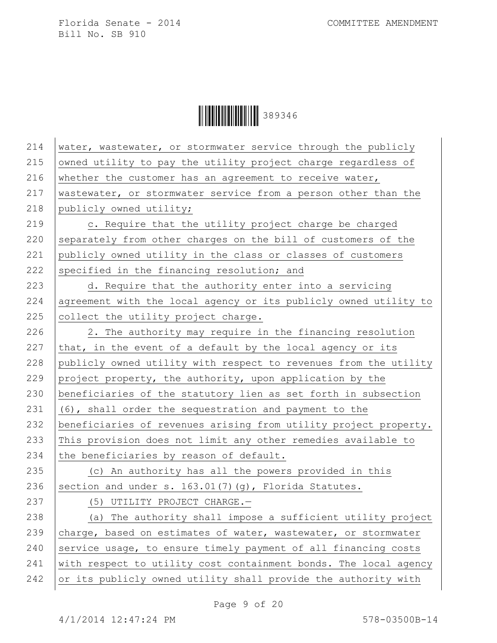$\begin{array}{|c|c|c|c|c|}\hline \multicolumn{1}{|c|}{\textbf{1}}&\multicolumn{1}{|c|}{\textbf{1}}&\multicolumn{1}{|c|}{\textbf{289346}}\ \hline \end{array}$ 

| 214 | water, wastewater, or stormwater service through the publicly    |
|-----|------------------------------------------------------------------|
| 215 | owned utility to pay the utility project charge regardless of    |
| 216 | whether the customer has an agreement to receive water,          |
| 217 | wastewater, or stormwater service from a person other than the   |
| 218 | publicly owned utility;                                          |
| 219 | c. Require that the utility project charge be charged            |
| 220 | separately from other charges on the bill of customers of the    |
| 221 | publicly owned utility in the class or classes of customers      |
| 222 | specified in the financing resolution; and                       |
| 223 | d. Require that the authority enter into a servicing             |
| 224 | agreement with the local agency or its publicly owned utility to |
| 225 | collect the utility project charge.                              |
| 226 | 2. The authority may require in the financing resolution         |
| 227 | that, in the event of a default by the local agency or its       |
| 228 | publicly owned utility with respect to revenues from the utility |
| 229 | project property, the authority, upon application by the         |
| 230 | beneficiaries of the statutory lien as set forth in subsection   |
| 231 | (6), shall order the sequestration and payment to the            |
| 232 | beneficiaries of revenues arising from utility project property. |
| 233 | This provision does not limit any other remedies available to    |
| 234 | the beneficiaries by reason of default.                          |
| 235 | (c) An authority has all the powers provided in this             |
| 236 | section and under s. 163.01(7)(g), Florida Statutes.             |
| 237 | (5) UTILITY PROJECT CHARGE.-                                     |
| 238 | (a) The authority shall impose a sufficient utility project      |
| 239 | charge, based on estimates of water, wastewater, or stormwater   |
| 240 | service usage, to ensure timely payment of all financing costs   |
| 241 | with respect to utility cost containment bonds. The local agency |
| 242 | or its publicly owned utility shall provide the authority with   |
|     |                                                                  |

Page 9 of 20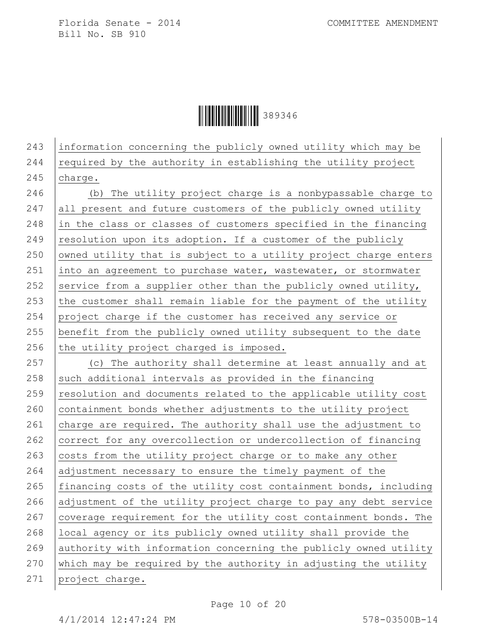Ì389346GÎ389346

243 information concerning the publicly owned utility which may be 244  $\vert$  required by the authority in establishing the utility project 245 charge.

 (b) The utility project charge is a nonbypassable charge to 247 all present and future customers of the publicly owned utility in the class or classes of customers specified in the financing resolution upon its adoption. If a customer of the publicly owned utility that is subject to a utility project charge enters 251 into an agreement to purchase water, wastewater, or stormwater 252 service from a supplier other than the publicly owned utility,  $\vert$  the customer shall remain liable for the payment of the utility project charge if the customer has received any service or benefit from the publicly owned utility subsequent to the date the utility project charged is imposed. 257 (c) The authority shall determine at least annually and at 258 such additional intervals as provided in the financing

 $259$  resolution and documents related to the applicable utility cost  $260$  containment bonds whether adjustments to the utility project 261 charge are required. The authority shall use the adjustment to 262 correct for any overcollection or undercollection of financing 263  $\vert$  costs from the utility project charge or to make any other 264 adjustment necessary to ensure the timely payment of the 265 | financing costs of the utility cost containment bonds, including 266 adjustment of the utility project charge to pay any debt service 267 coverage requirement for the utility cost containment bonds. The 268 local agency or its publicly owned utility shall provide the 269 authority with information concerning the publicly owned utility 270 which may be required by the authority in adjusting the utility 271 project charge.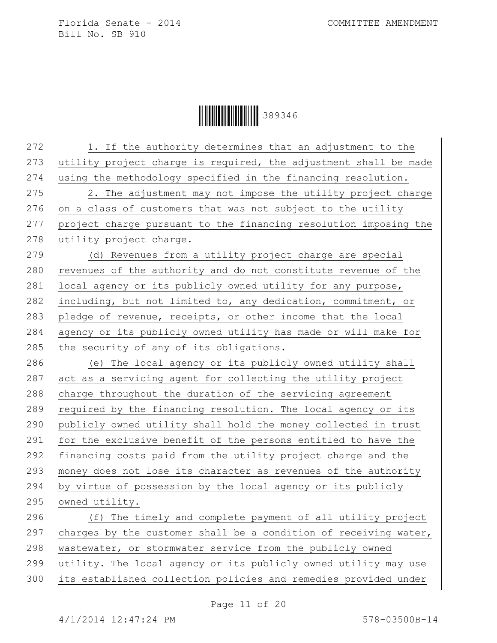Ì389346GÎ389346

272 | 1. If the authority determines that an adjustment to the 273 utility project charge is required, the adjustment shall be made 274 using the methodology specified in the financing resolution.  $275$   $\vert$  2. The adjustment may not impose the utility project charge 276 on a class of customers that was not subject to the utility 277 project charge pursuant to the financing resolution imposing the 278 utility project charge. 279 (d) Revenues from a utility project charge are special  $280$  revenues of the authority and do not constitute revenue of the 281 | local agency or its publicly owned utility for any purpose, 282 including, but not limited to, any dedication, commitment, or 283 pledge of revenue, receipts, or other income that the local 284 agency or its publicly owned utility has made or will make for 285 the security of any of its obligations. 286 (e) The local agency or its publicly owned utility shall  $287$  act as a servicing agent for collecting the utility project  $288$  charge throughout the duration of the servicing agreement 289  $\vert$  required by the financing resolution. The local agency or its 290 publicly owned utility shall hold the money collected in trust 291 for the exclusive benefit of the persons entitled to have the 292 financing costs paid from the utility project charge and the 293 money does not lose its character as revenues of the authority 294 by virtue of possession by the local agency or its publicly 295 owned utility. 296 (f) The timely and complete payment of all utility project 297 charges by the customer shall be a condition of receiving water, 298 | wastewater, or stormwater service from the publicly owned 299 utility. The local agency or its publicly owned utility may use 300 its established collection policies and remedies provided under

Page 11 of 20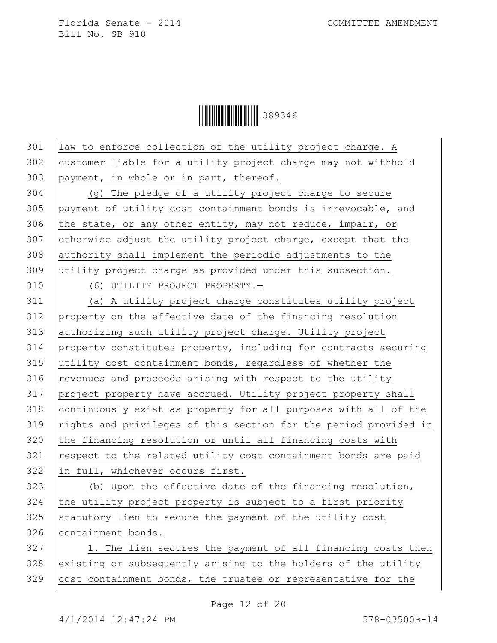$\begin{array}{|c|c|c|c|c|}\hline \multicolumn{1}{|c|}{\textbf{1}}&\multicolumn{1}{|c|}{\textbf{1}}&\multicolumn{1}{|c|}{\textbf{289346}}\ \hline \end{array}$ 

| 301 | law to enforce collection of the utility project charge. A       |
|-----|------------------------------------------------------------------|
| 302 | customer liable for a utility project charge may not withhold    |
| 303 | payment, in whole or in part, thereof.                           |
| 304 | (g) The pledge of a utility project charge to secure             |
| 305 | payment of utility cost containment bonds is irrevocable, and    |
| 306 | the state, or any other entity, may not reduce, impair, or       |
| 307 | otherwise adjust the utility project charge, except that the     |
| 308 | authority shall implement the periodic adjustments to the        |
| 309 | utility project charge as provided under this subsection.        |
| 310 | (6) UTILITY PROJECT PROPERTY.-                                   |
| 311 | (a) A utility project charge constitutes utility project         |
| 312 | property on the effective date of the financing resolution       |
| 313 | authorizing such utility project charge. Utility project         |
| 314 | property constitutes property, including for contracts securing  |
| 315 | utility cost containment bonds, regardless of whether the        |
| 316 | revenues and proceeds arising with respect to the utility        |
| 317 | project property have accrued. Utility project property shall    |
| 318 | continuously exist as property for all purposes with all of the  |
| 319 | rights and privileges of this section for the period provided in |
| 320 | the financing resolution or until all financing costs with       |
| 321 | respect to the related utility cost containment bonds are paid   |
| 322 | in full, whichever occurs first.                                 |
| 323 | (b) Upon the effective date of the financing resolution,         |
| 324 | the utility project property is subject to a first priority      |
| 325 | statutory lien to secure the payment of the utility cost         |
| 326 | containment bonds.                                               |
| 327 | 1. The lien secures the payment of all financing costs then      |
| 328 | existing or subsequently arising to the holders of the utility   |
| 329 | cost containment bonds, the trustee or representative for the    |
|     |                                                                  |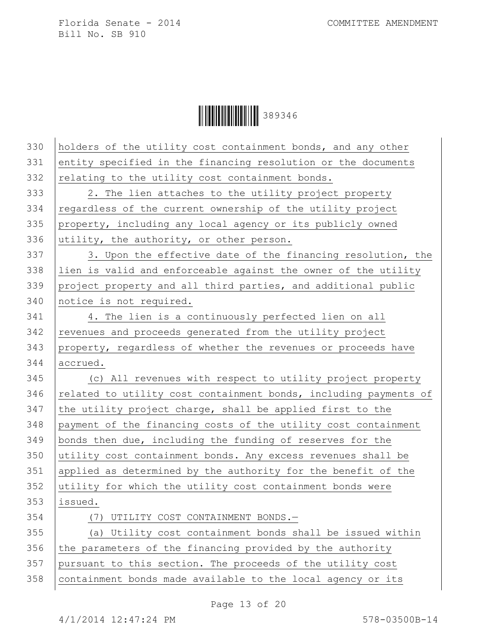$\begin{array}{|c|c|c|c|c|}\hline \multicolumn{1}{|c|}{\textbf{1}}&\multicolumn{1}{|c|}{\textbf{1}}&\multicolumn{1}{|c|}{\textbf{289346}}\ \hline \end{array}$ 

| 330 | holders of the utility cost containment bonds, and any other     |
|-----|------------------------------------------------------------------|
| 331 | entity specified in the financing resolution or the documents    |
| 332 | relating to the utility cost containment bonds.                  |
| 333 | 2. The lien attaches to the utility project property             |
| 334 | regardless of the current ownership of the utility project       |
| 335 | property, including any local agency or its publicly owned       |
| 336 | utility, the authority, or other person.                         |
| 337 | 3. Upon the effective date of the financing resolution, the      |
| 338 | lien is valid and enforceable against the owner of the utility   |
| 339 | project property and all third parties, and additional public    |
| 340 | notice is not required.                                          |
| 341 | 4. The lien is a continuously perfected lien on all              |
| 342 | revenues and proceeds generated from the utility project         |
| 343 | property, regardless of whether the revenues or proceeds have    |
| 344 | accrued.                                                         |
| 345 | (c) All revenues with respect to utility project property        |
| 346 | related to utility cost containment bonds, including payments of |
| 347 | the utility project charge, shall be applied first to the        |
| 348 | payment of the financing costs of the utility cost containment   |
| 349 | bonds then due, including the funding of reserves for the        |
| 350 | utility cost containment bonds. Any excess revenues shall be     |
| 351 | applied as determined by the authority for the benefit of the    |
| 352 | utility for which the utility cost containment bonds were        |
| 353 | issued.                                                          |
| 354 | (7) UTILITY COST CONTAINMENT BONDS.-                             |
| 355 | (a) Utility cost containment bonds shall be issued within        |
| 356 | the parameters of the financing provided by the authority        |
| 357 | pursuant to this section. The proceeds of the utility cost       |
| 358 | containment bonds made available to the local agency or its      |
|     |                                                                  |

Page 13 of 20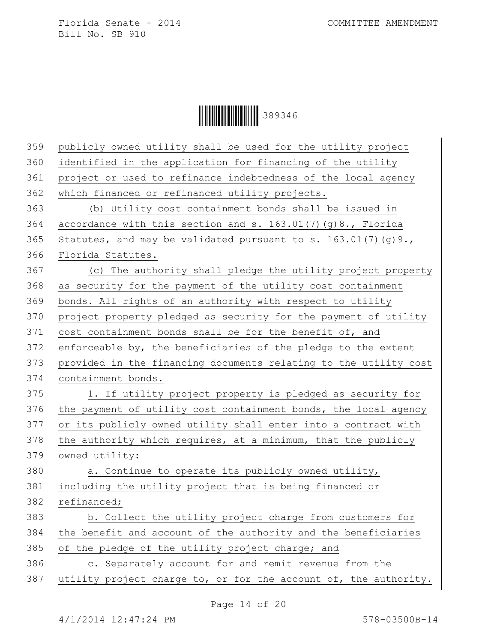$\begin{array}{|c|c|c|c|c|}\hline \multicolumn{1}{|c|}{\textbf{1}}&\multicolumn{1}{|c|}{\textbf{1}}&\multicolumn{1}{|c|}{\textbf{289346}}\ \hline \end{array}$ 

| 359 | publicly owned utility shall be used for the utility project     |
|-----|------------------------------------------------------------------|
| 360 | identified in the application for financing of the utility       |
| 361 | project or used to refinance indebtedness of the local agency    |
| 362 | which financed or refinanced utility projects.                   |
| 363 | (b) Utility cost containment bonds shall be issued in            |
| 364 | accordance with this section and s. 163.01(7)(g)8., Florida      |
| 365 | Statutes, and may be validated pursuant to s. $163.01(7)(g)9.$ , |
| 366 | Florida Statutes.                                                |
| 367 | (c) The authority shall pledge the utility project property      |
| 368 | as security for the payment of the utility cost containment      |
| 369 | bonds. All rights of an authority with respect to utility        |
| 370 | project property pledged as security for the payment of utility  |
| 371 | cost containment bonds shall be for the benefit of, and          |
| 372 | enforceable by, the beneficiaries of the pledge to the extent    |
| 373 | provided in the financing documents relating to the utility cost |
|     |                                                                  |
| 374 | containment bonds.                                               |
| 375 | 1. If utility project property is pledged as security for        |
| 376 | the payment of utility cost containment bonds, the local agency  |
| 377 | or its publicly owned utility shall enter into a contract with   |
| 378 | the authority which requires, at a minimum, that the publicly    |
| 379 | owned utility:                                                   |
| 380 | a. Continue to operate its publicly owned utility,               |
| 381 | including the utility project that is being financed or          |
| 382 | refinanced;                                                      |
| 383 | b. Collect the utility project charge from customers for         |
| 384 | the benefit and account of the authority and the beneficiaries   |
| 385 | of the pledge of the utility project charge; and                 |
| 386 | c. Separately account for and remit revenue from the             |
| 387 | utility project charge to, or for the account of, the authority. |

Page 14 of 20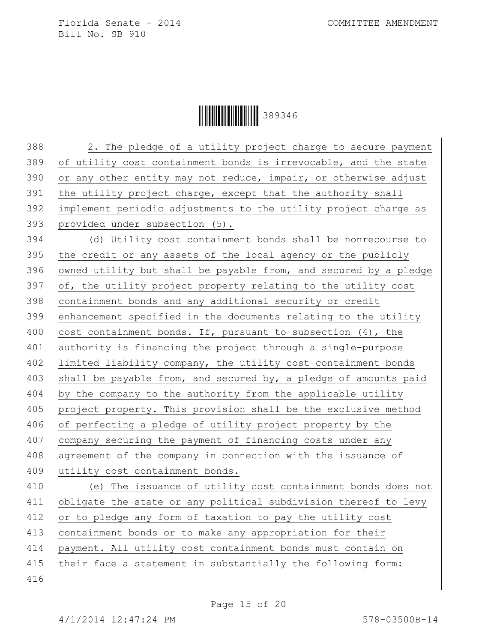**HEREFORE SHEET SHEET SHEET SHEET SHEET SHEET SHEET SHEET SHEET SHEET SHEET SHEET SHEET SHEET SHEET SHEET SHEET** 

388 2. The pledge of a utility project charge to secure payment of utility cost containment bonds is irrevocable, and the state  $\sigma$  or any other entity may not reduce, impair, or otherwise adjust 391 the utility project charge, except that the authority shall implement periodic adjustments to the utility project charge as provided under subsection (5). (d) Utility cost containment bonds shall be nonrecourse to the credit or any assets of the local agency or the publicly 396 owned utility but shall be payable from, and secured by a pledge  $of$ , the utility project property relating to the utility cost containment bonds and any additional security or credit enhancement specified in the documents relating to the utility 400 cost containment bonds. If, pursuant to subsection  $(4)$ , the authority is financing the project through a single-purpose limited liability company, the utility cost containment bonds 403 shall be payable from, and secured by, a pledge of amounts paid by the company to the authority from the applicable utility project property. This provision shall be the exclusive method of perfecting a pledge of utility project property by the 407 company securing the payment of financing costs under any 408 agreement of the company in connection with the issuance of 409 utility cost containment bonds. (e) The issuance of utility cost containment bonds does not 411 obligate the state or any political subdivision thereof to levy or to pledge any form of taxation to pay the utility cost containment bonds or to make any appropriation for their payment. All utility cost containment bonds must contain on 415 their face a statement in substantially the following form: 416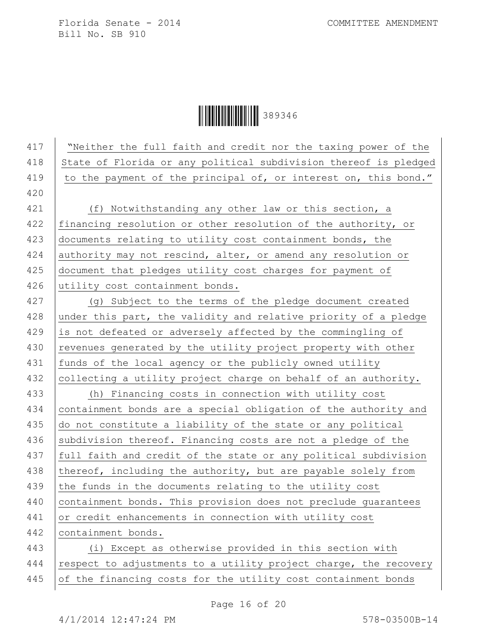Ì389346GÎ389346

417 | "Neither the full faith and credit nor the taxing power of the 418 State of Florida or any political subdivision thereof is pledged 419 to the payment of the principal of, or interest on, this bond." 420 421 (f) Notwithstanding any other law or this section, a 422 financing resolution or other resolution of the authority, or 423 documents relating to utility cost containment bonds, the 424 authority may not rescind, alter, or amend any resolution or 425 document that pledges utility cost charges for payment of 426 utility cost containment bonds. 427 (g) Subject to the terms of the pledge document created 428 under this part, the validity and relative priority of a pledge 429 is not defeated or adversely affected by the commingling of 430 revenues generated by the utility project property with other 431 | funds of the local agency or the publicly owned utility 432 collecting a utility project charge on behalf of an authority. 433 (h) Financing costs in connection with utility cost 434 containment bonds are a special obligation of the authority and 435 do not constitute a liability of the state or any political 436 subdivision thereof. Financing costs are not a pledge of the 437 | full faith and credit of the state or any political subdivision 438 thereof, including the authority, but are payable solely from 439 the funds in the documents relating to the utility cost 440 containment bonds. This provision does not preclude guarantees 441 or credit enhancements in connection with utility cost 442 containment bonds. 443 (i) Except as otherwise provided in this section with 444 respect to adjustments to a utility project charge, the recovery 445 of the financing costs for the utility cost containment bonds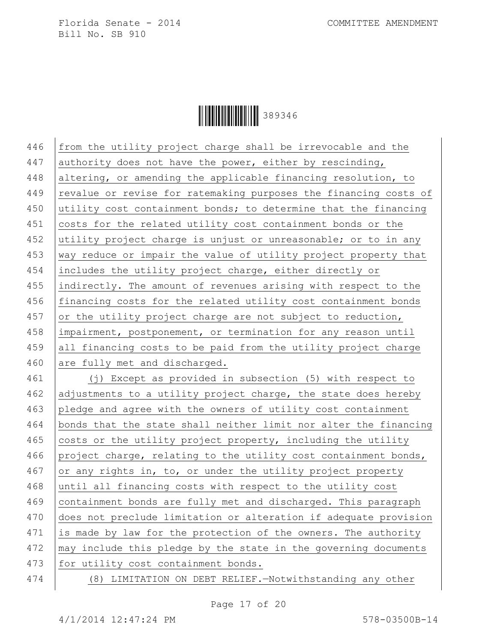**ÖÖÖÖÖÖÖÖÖÖÖÖÖ** 389346

 $446$  from the utility project charge shall be irrevocable and the 447 authority does not have the power, either by rescinding, 448 altering, or amending the applicable financing resolution, to 449 revalue or revise for ratemaking purposes the financing costs of 450 utility cost containment bonds; to determine that the financing 451 costs for the related utility cost containment bonds or the 452 utility project charge is unjust or unreasonable; or to in any 453 way reduce or impair the value of utility project property that 454 includes the utility project charge, either directly or 455 indirectly. The amount of revenues arising with respect to the 456 financing costs for the related utility cost containment bonds 457 or the utility project charge are not subject to reduction, 458 impairment, postponement, or termination for any reason until 459 all financing costs to be paid from the utility project charge 460 are fully met and discharged. 461 (j) Except as provided in subsection (5) with respect to 462 adjustments to a utility project charge, the state does hereby 463 pledge and agree with the owners of utility cost containment 464 bonds that the state shall neither limit nor alter the financing 465 costs or the utility project property, including the utility 466 project charge, relating to the utility cost containment bonds, 467 or any rights in, to, or under the utility project property 468 until all financing costs with respect to the utility cost

469 containment bonds are fully met and discharged. This paragraph 470 does not preclude limitation or alteration if adequate provision 471 is made by law for the protection of the owners. The authority 472 | may include this pledge by the state in the governing documents 473 for utility cost containment bonds.

474 (8) LIMITATION ON DEBT RELIEF.—Notwithstanding any other

Page 17 of 20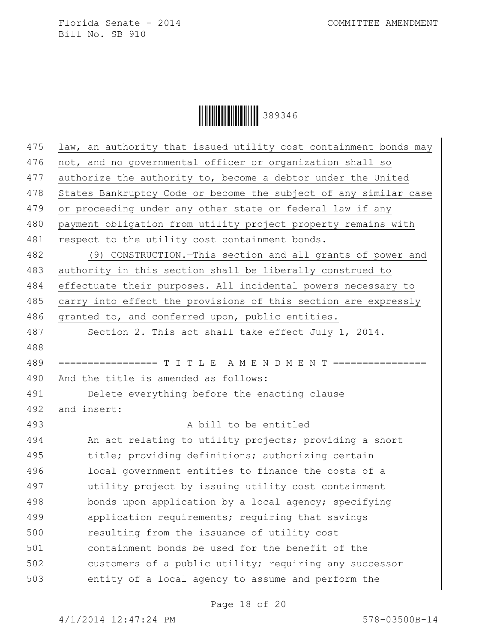$\begin{array}{|c|c|c|c|c|}\hline \multicolumn{1}{|c|}{\textbf{1}}&\multicolumn{1}{|c|}{\textbf{1}}&\multicolumn{1}{|c|}{\textbf{289346}}\ \hline \end{array}$ 

| 475 | law, an authority that issued utility cost containment bonds may |
|-----|------------------------------------------------------------------|
| 476 | not, and no governmental officer or organization shall so        |
| 477 | authorize the authority to, become a debtor under the United     |
| 478 | States Bankruptcy Code or become the subject of any similar case |
| 479 | or proceeding under any other state or federal law if any        |
| 480 | payment obligation from utility project property remains with    |
| 481 | respect to the utility cost containment bonds.                   |
| 482 | (9) CONSTRUCTION. - This section and all grants of power and     |
| 483 | authority in this section shall be liberally construed to        |
| 484 | effectuate their purposes. All incidental powers necessary to    |
| 485 | carry into effect the provisions of this section are expressly   |
| 486 | granted to, and conferred upon, public entities.                 |
| 487 | Section 2. This act shall take effect July 1, 2014.              |
| 488 |                                                                  |
| 489 | ================= T I T L E A M E N D M E N T ================   |
| 490 | And the title is amended as follows:                             |
| 491 | Delete everything before the enacting clause                     |
| 492 | and insert:                                                      |
| 493 | A bill to be entitled                                            |
| 494 | An act relating to utility projects; providing a short           |
| 495 | title; providing definitions; authorizing certain                |
| 496 | local government entities to finance the costs of a              |
| 497 | utility project by issuing utility cost containment              |
| 498 | bonds upon application by a local agency; specifying             |
| 499 | application requirements; requiring that savings                 |
| 500 | resulting from the issuance of utility cost                      |
| 501 | containment bonds be used for the benefit of the                 |
| 502 | customers of a public utility; requiring any successor           |
| 503 | entity of a local agency to assume and perform the               |
|     |                                                                  |

Page 18 of 20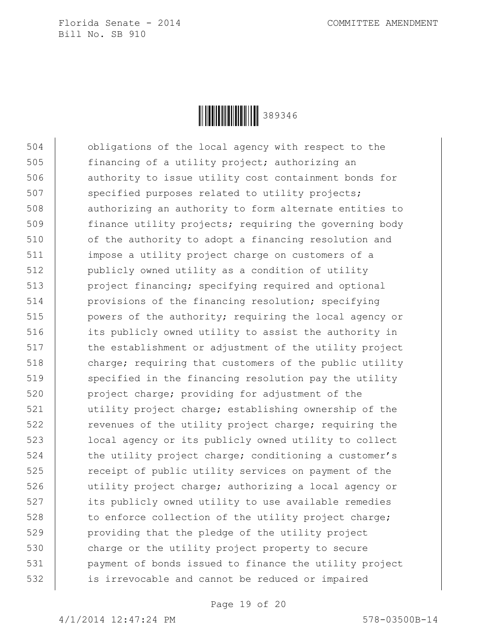

504 obligations of the local agency with respect to the 505 financing of a utility project; authorizing an 506 authority to issue utility cost containment bonds for 507 specified purposes related to utility projects; 508 | authorizing an authority to form alternate entities to 509 finance utility projects; requiring the governing body 510 of the authority to adopt a financing resolution and 511 impose a utility project charge on customers of a 512 publicly owned utility as a condition of utility 513 project financing; specifying required and optional 514 provisions of the financing resolution; specifying 515 | powers of the authority; requiring the local agency or 516 its publicly owned utility to assist the authority in 517 | the establishment or adjustment of the utility project 518 charge; requiring that customers of the public utility 519 specified in the financing resolution pay the utility 520 project charge; providing for adjustment of the 521 utility project charge; establishing ownership of the 522 The revenues of the utility project charge; requiring the 523 local agency or its publicly owned utility to collect 524 the utility project charge; conditioning a customer's 525 **Fig.** receipt of public utility services on payment of the 526 utility project charge; authorizing a local agency or 527 its publicly owned utility to use available remedies 528 to enforce collection of the utility project charge; 529 providing that the pledge of the utility project 530 charge or the utility project property to secure 531 payment of bonds issued to finance the utility project 532 is irrevocable and cannot be reduced or impaired

Page 19 of 20